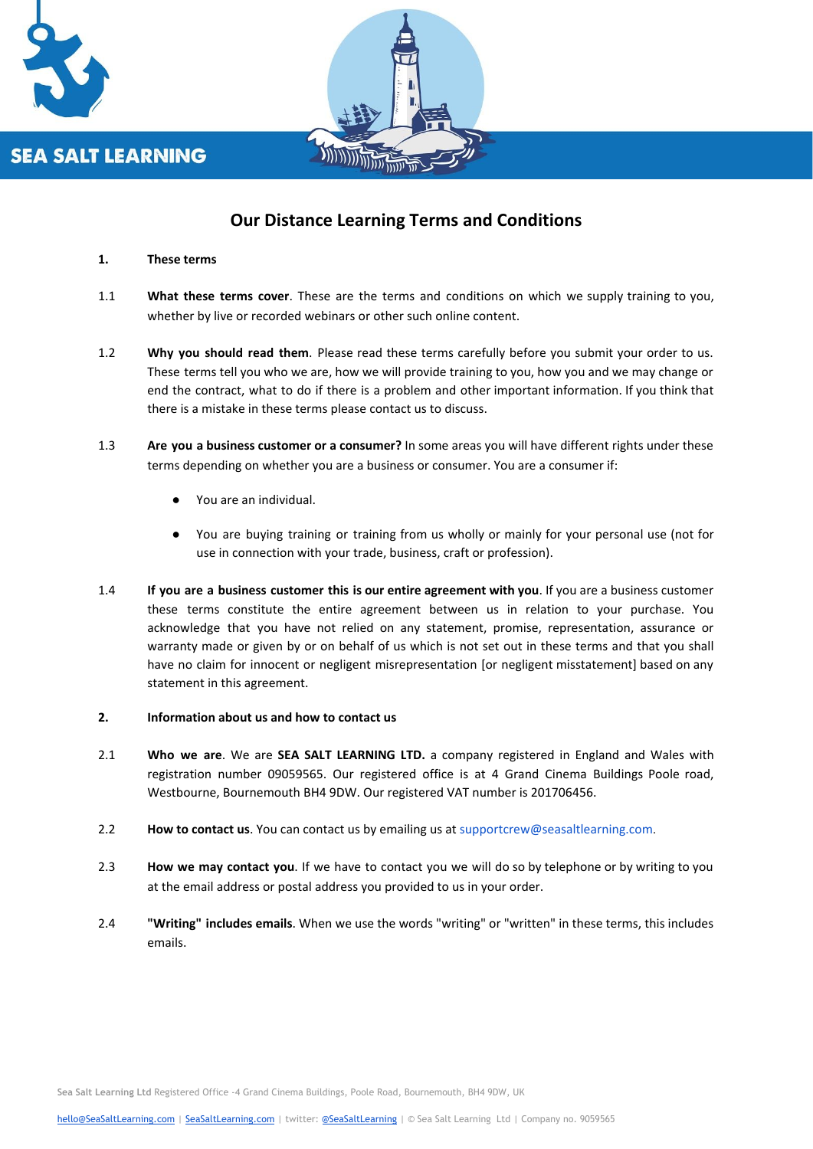

# **Our Distance Learning Terms and Conditions**

### **1. These terms**

- 1.1 **What these terms cover**. These are the terms and conditions on which we supply training to you, whether by live or recorded webinars or other such online content.
- 1.2 **Why you should read them**. Please read these terms carefully before you submit your order to us. These terms tell you who we are, how we will provide training to you, how you and we may change or end the contract, what to do if there is a problem and other important information. If you think that there is a mistake in these terms please contact us to discuss.
- 1.3 **Are you a business customer or a consumer?** In some areas you will have different rights under these terms depending on whether you are a business or consumer. You are a consumer if:
	- You are an individual.
	- You are buying training or training from us wholly or mainly for your personal use (not for use in connection with your trade, business, craft or profession).
- 1.4 **If you are a business customer this is our entire agreement with you**. If you are a business customer these terms constitute the entire agreement between us in relation to your purchase. You acknowledge that you have not relied on any statement, promise, representation, assurance or warranty made or given by or on behalf of us which is not set out in these terms and that you shall have no claim for innocent or negligent misrepresentation [or negligent misstatement] based on any statement in this agreement.
- **2. Information about us and how to contact us**
- 2.1 **Who we are**. We are **SEA SALT LEARNING LTD.** a company registered in England and Wales with registration number 09059565. Our registered office is at 4 Grand Cinema Buildings Poole road, Westbourne, Bournemouth BH4 9DW. Our registered VAT number is 201706456.
- 2.2 **How to contact us**. You can contact us by emailing us at supportcrew@seasaltlearning.com.
- 2.3 **How we may contact you**. If we have to contact you we will do so by telephone or by writing to you at the email address or postal address you provided to us in your order.
- 2.4 **"Writing" includes emails**. When we use the words "writing" or "written" in these terms, this includes emails.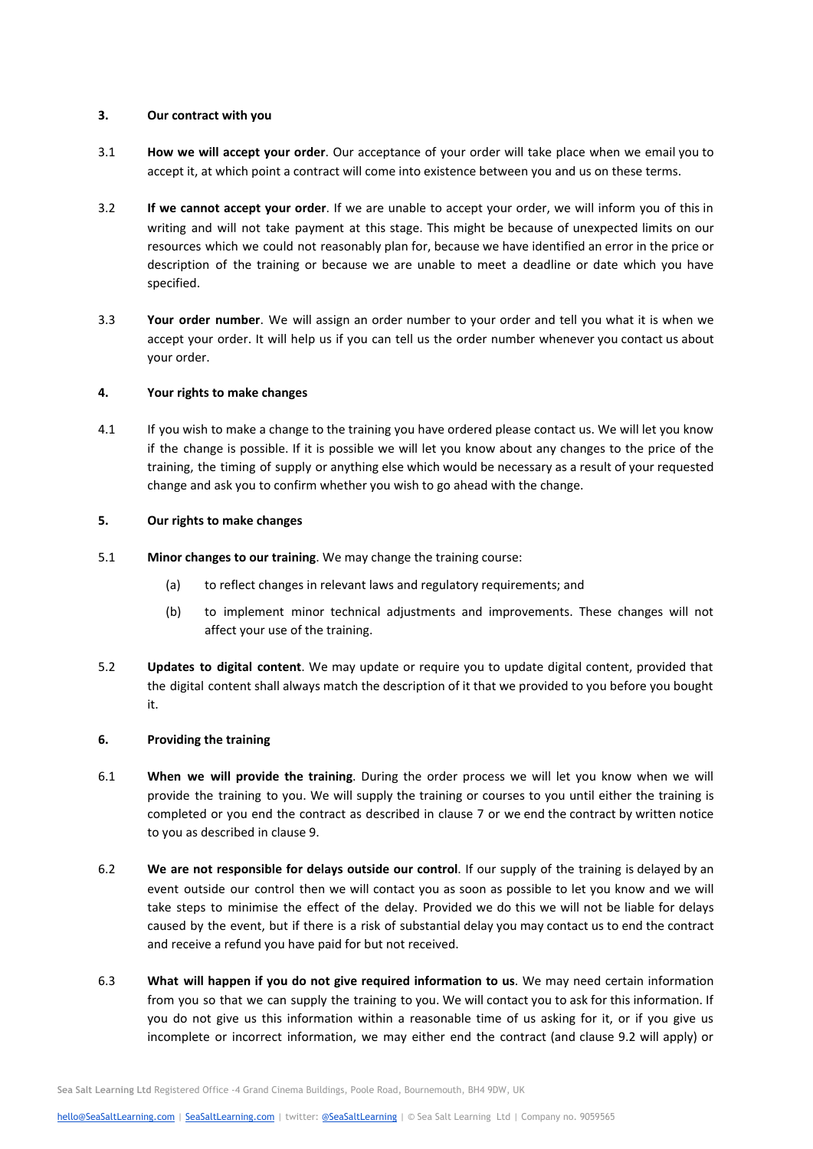## **3. Our contract with you**

- 3.1 **How we will accept your order**. Our acceptance of your order will take place when we email you to accept it, at which point a contract will come into existence between you and us on these terms.
- 3.2 **If we cannot accept your order**. If we are unable to accept your order, we will inform you of this in writing and will not take payment at this stage. This might be because of unexpected limits on our resources which we could not reasonably plan for, because we have identified an error in the price or description of the training or because we are unable to meet a deadline or date which you have specified.
- 3.3 **Your order number**. We will assign an order number to your order and tell you what it is when we accept your order. It will help us if you can tell us the order number whenever you contact us about your order.

## **4. Your rights to make changes**

4.1 If you wish to make a change to the training you have ordered please contact us. We will let you know if the change is possible. If it is possible we will let you know about any changes to the price of the training, the timing of supply or anything else which would be necessary as a result of your requested change and ask you to confirm whether you wish to go ahead with the change.

## **5. Our rights to make changes**

- 5.1 **Minor changes to our training**. We may change the training course:
	- (a) to reflect changes in relevant laws and regulatory requirements; and
	- (b) to implement minor technical adjustments and improvements. These changes will not affect your use of the training.
- 5.2 **Updates to digital content**. We may update or require you to update digital content, provided that the digital content shall always match the description of it that we provided to you before you bought it.

# **6. Providing the training**

- 6.1 **When we will provide the training**. During the order process we will let you know when we will provide the training to you. We will supply the training or courses to you until either the training is completed or you end the contract as described in clause 7 or we end the contract by written notice to you as described in clause 9.
- 6.2 **We are not responsible for delays outside our control**. If our supply of the training is delayed by an event outside our control then we will contact you as soon as possible to let you know and we will take steps to minimise the effect of the delay. Provided we do this we will not be liable for delays caused by the event, but if there is a risk of substantial delay you may contact us to end the contract and receive a refund you have paid for but not received.
- 6.3 **What will happen if you do not give required information to us**. We may need certain information from you so that we can supply the training to you. We will contact you to ask for this information. If you do not give us this information within a reasonable time of us asking for it, or if you give us incomplete or incorrect information, we may either end the contract (and clause 9.2 will apply) or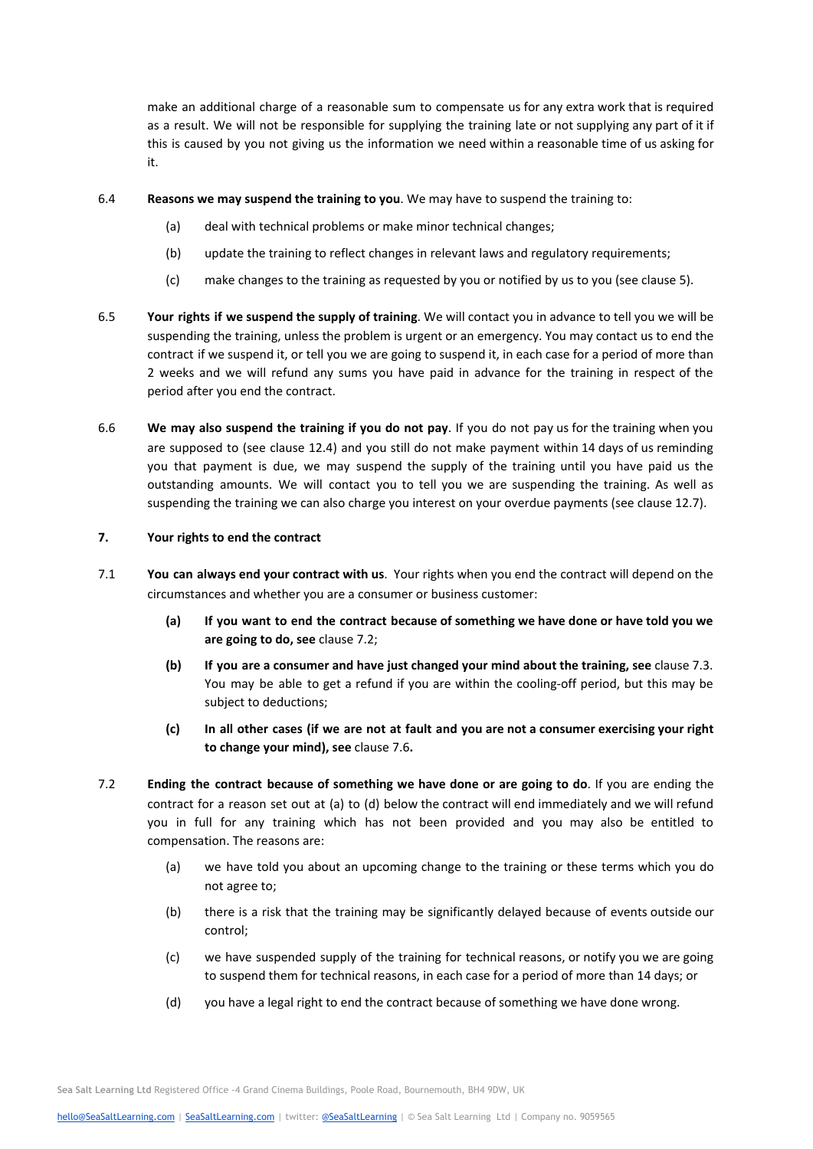make an additional charge of a reasonable sum to compensate us for any extra work that is required as a result. We will not be responsible for supplying the training late or not supplying any part of it if this is caused by you not giving us the information we need within a reasonable time of us asking for it.

- 6.4 **Reasons we may suspend the training to you**. We may have to suspend the training to:
	- (a) deal with technical problems or make minor technical changes;
	- (b) update the training to reflect changes in relevant laws and regulatory requirements;
	- (c) make changes to the training as requested by you or notified by us to you (see clause 5).
- 6.5 **Your rights if we suspend the supply of training**. We will contact you in advance to tell you we will be suspending the training, unless the problem is urgent or an emergency. You may contact us to end the contract if we suspend it, or tell you we are going to suspend it, in each case for a period of more than 2 weeks and we will refund any sums you have paid in advance for the training in respect of the period after you end the contract.
- 6.6 **We may also suspend the training if you do not pay**. If you do not pay us for the training when you are supposed to (see clause 12.4) and you still do not make payment within 14 days of us reminding you that payment is due, we may suspend the supply of the training until you have paid us the outstanding amounts. We will contact you to tell you we are suspending the training. As well as suspending the training we can also charge you interest on your overdue payments (see clause 12.7).

## **7. Your rights to end the contract**

- 7.1 **You can always end your contract with us**. Your rights when you end the contract will depend on the circumstances and whether you are a consumer or business customer:
	- **(a) If you want to end the contract because of something we have done or have told you we are going to do, see** clause 7.2;
	- **(b) If you are a consumer and have just changed your mind about the training, see** clause 7.3. You may be able to get a refund if you are within the cooling-off period, but this may be subject to deductions;
	- (c) In all other cases (if we are not at fault and you are not a consumer exercising your right **to change your mind), see** clause 7.6**.**
- 7.2 **Ending the contract because of something we have done or are going to do**. If you are ending the contract for a reason set out at (a) to (d) below the contract will end immediately and we will refund you in full for any training which has not been provided and you may also be entitled to compensation. The reasons are:
	- (a) we have told you about an upcoming change to the training or these terms which you do not agree to;
	- (b) there is a risk that the training may be significantly delayed because of events outside our control;
	- (c) we have suspended supply of the training for technical reasons, or notify you we are going to suspend them for technical reasons, in each case for a period of more than 14 days; or
	- (d) you have a legal right to end the contract because of something we have done wrong.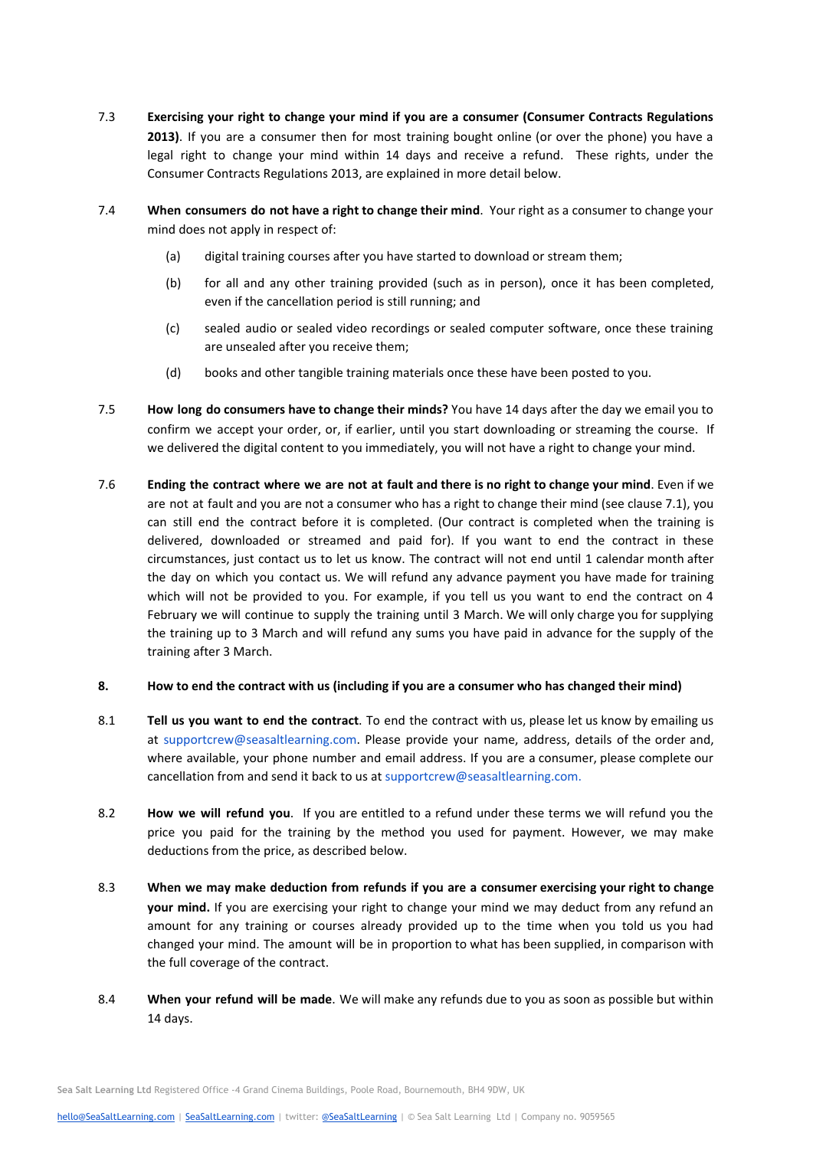- 7.3 **Exercising your right to change your mind if you are a consumer (Consumer Contracts Regulations 2013)**. If you are a consumer then for most training bought online (or over the phone) you have a legal right to change your mind within 14 days and receive a refund. These rights, under the Consumer Contracts Regulations 2013, are explained in more detail below.
- 7.4 **When consumers do not have a right to change their mind**. Your right as a consumer to change your mind does not apply in respect of:
	- (a) digital training courses after you have started to download or stream them;
	- (b) for all and any other training provided (such as in person), once it has been completed, even if the cancellation period is still running; and
	- (c) sealed audio or sealed video recordings or sealed computer software, once these training are unsealed after you receive them;
	- (d) books and other tangible training materials once these have been posted to you.
- 7.5 **How long do consumers have to change their minds?** You have 14 days after the day we email you to confirm we accept your order, or, if earlier, until you start downloading or streaming the course. If we delivered the digital content to you immediately, you will not have a right to change your mind.
- 7.6 Ending the contract where we are not at fault and there is no right to change your mind. Even if we are not at fault and you are not a consumer who has a right to change their mind (see clause 7.1), you can still end the contract before it is completed. (Our contract is completed when the training is delivered, downloaded or streamed and paid for). If you want to end the contract in these circumstances, just contact us to let us know. The contract will not end until 1 calendar month after the day on which you contact us. We will refund any advance payment you have made for training which will not be provided to you. For example, if you tell us you want to end the contract on 4 February we will continue to supply the training until 3 March. We will only charge you for supplying the training up to 3 March and will refund any sums you have paid in advance for the supply of the training after 3 March.

#### 8. How to end the contract with us (including if you are a consumer who has changed their mind)

- 8.1 **Tell us you want to end the contract**. To end the contract with us, please let us know by emailing us at supportcrew@seasaltlearning.com. Please provide your name, address, details of the order and, where available, your phone number and email address. If you are a consumer, please complete our cancellation from and send it back to us at supportcrew@seasaltlearning.com.
- 8.2 **How we will refund you**. If you are entitled to a refund under these terms we will refund you the price you paid for the training by the method you used for payment. However, we may make deductions from the price, as described below.
- 8.3 **When we may make deduction from refunds if you are a consumer exercising your right to change your mind.** If you are exercising your right to change your mind we may deduct from any refund an amount for any training or courses already provided up to the time when you told us you had changed your mind. The amount will be in proportion to what has been supplied, in comparison with the full coverage of the contract.
- 8.4 **When your refund will be made**. We will make any refunds due to you as soon as possible but within 14 days.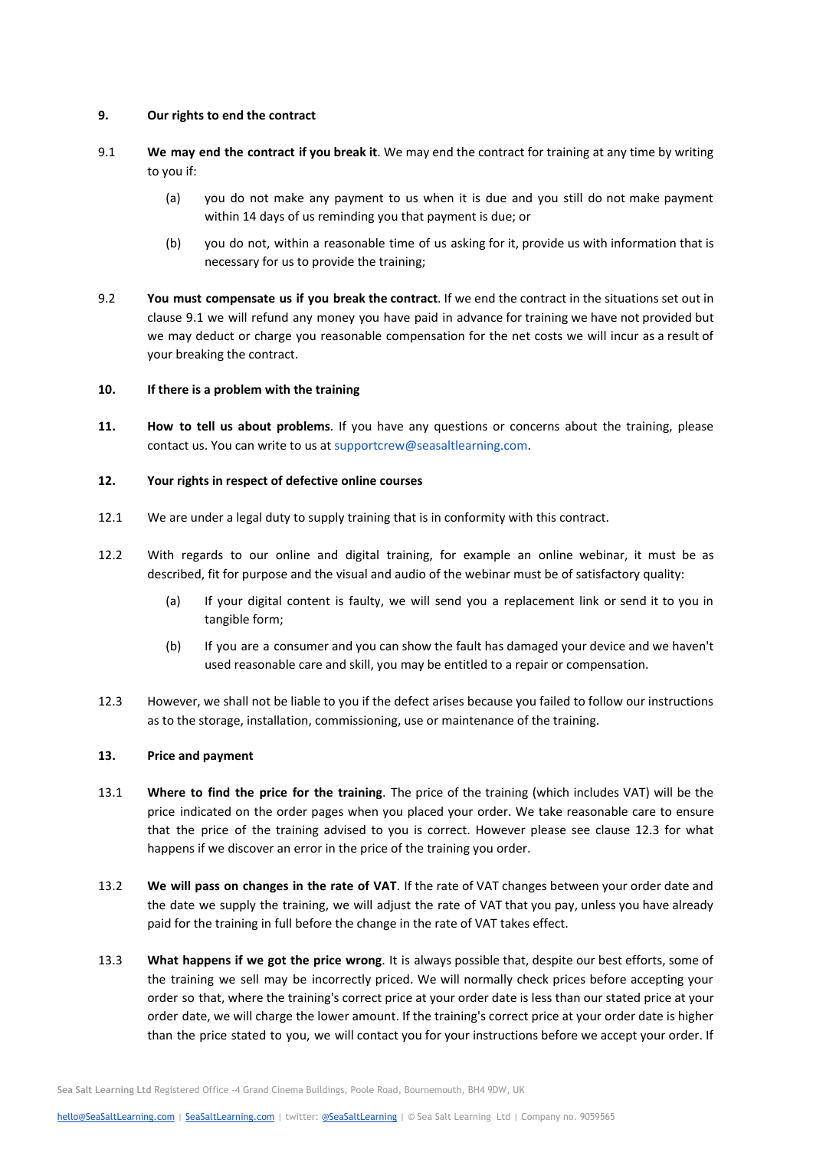#### **9. Our rights to end the contract**

- 9.1 **We may end the contract if you break it**. We may end the contract for training at any time by writing to you if:
	- (a) you do not make any payment to us when it is due and you still do not make payment within 14 days of us reminding you that payment is due; or
	- (b) you do not, within a reasonable time of us asking for it, provide us with information that is necessary for us to provide the training;
- 9.2 **You must compensate us if you break the contract**. If we end the contract in the situations set out in clause 9.1 we will refund any money you have paid in advance for training we have not provided but we may deduct or charge you reasonable compensation for the net costs we will incur as a result of your breaking the contract.

#### **10. If there is a problem with the training**

**11. How to tell us about problems**. If you have any questions or concerns about the training, please contact us. You can write to us at supportcrew@seasaltlearning.com.

### **12. Your rights in respect of defective online courses**

- 12.1 We are under a legal duty to supply training that is in conformity with this contract.
- 12.2 With regards to our online and digital training, for example an online webinar, it must be as described, fit for purpose and the visual and audio of the webinar must be of satisfactory quality:
	- (a) If your digital content is faulty, we will send you a replacement link or send it to you in tangible form;
	- (b) If you are a consumer and you can show the fault has damaged your device and we haven't used reasonable care and skill, you may be entitled to a repair or compensation.
- 12.3 However, we shall not be liable to you if the defect arises because you failed to follow our instructions as to the storage, installation, commissioning, use or maintenance of the training.

#### **13. Price and payment**

- 13.1 **Where to find the price for the training**. The price of the training (which includes VAT) will be the price indicated on the order pages when you placed your order. We take reasonable care to ensure that the price of the training advised to you is correct. However please see clause 12.3 for what happens if we discover an error in the price of the training you order.
- 13.2 **We will pass on changes in the rate of VAT**. If the rate of VAT changes between your order date and the date we supply the training, we will adjust the rate of VAT that you pay, unless you have already paid for the training in full before the change in the rate of VAT takes effect.
- 13.3 **What happens if we got the price wrong**. It is always possible that, despite our best efforts, some of the training we sell may be incorrectly priced. We will normally check prices before accepting your order so that, where the training's correct price at your order date is less than our stated price at your order date, we will charge the lower amount. If the training's correct price at your order date is higher than the price stated to you, we will contact you for your instructions before we accept your order. If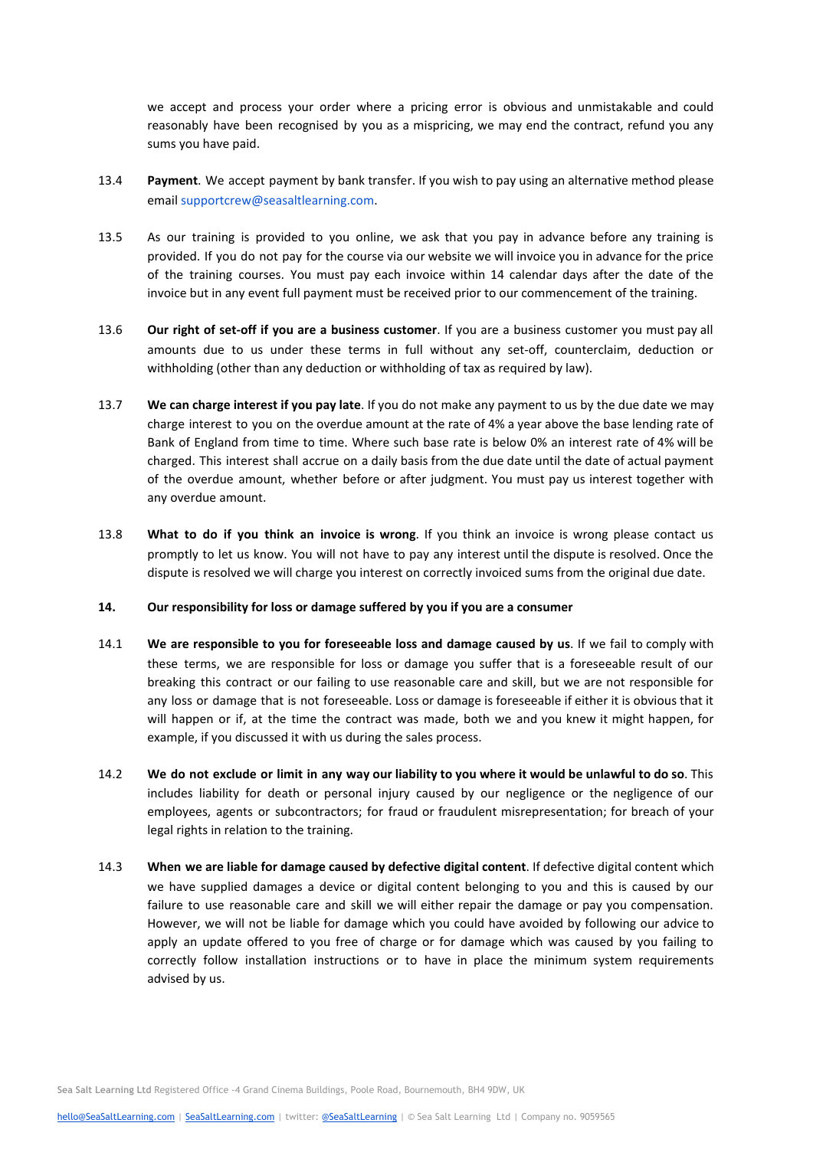we accept and process your order where a pricing error is obvious and unmistakable and could reasonably have been recognised by you as a mispricing, we may end the contract, refund you any sums you have paid.

- 13.4 **Payment**. We accept payment by bank transfer. If you wish to pay using an alternative method please email supportcrew@seasaltlearning.com.
- 13.5 As our training is provided to you online, we ask that you pay in advance before any training is provided. If you do not pay for the course via our website we will invoice you in advance for the price of the training courses. You must pay each invoice within 14 calendar days after the date of the invoice but in any event full payment must be received prior to our commencement of the training.
- 13.6 **Our right of set-off if you are a business customer**. If you are a business customer you must pay all amounts due to us under these terms in full without any set-off, counterclaim, deduction or withholding (other than any deduction or withholding of tax as required by law).
- 13.7 **We can charge interest if you pay late**. If you do not make any payment to us by the due date we may charge interest to you on the overdue amount at the rate of 4% a year above the base lending rate of Bank of England from time to time. Where such base rate is below 0% an interest rate of 4% will be charged. This interest shall accrue on a daily basis from the due date until the date of actual payment of the overdue amount, whether before or after judgment. You must pay us interest together with any overdue amount.
- 13.8 **What to do if you think an invoice is wrong**. If you think an invoice is wrong please contact us promptly to let us know. You will not have to pay any interest until the dispute is resolved. Once the dispute is resolved we will charge you interest on correctly invoiced sums from the original due date.

#### **14. Our responsibility for loss or damage suffered by you if you are a consumer**

- 14.1 **We are responsible to you for foreseeable loss and damage caused by us**. If we fail to comply with these terms, we are responsible for loss or damage you suffer that is a foreseeable result of our breaking this contract or our failing to use reasonable care and skill, but we are not responsible for any loss or damage that is not foreseeable. Loss or damage is foreseeable if either it is obvious that it will happen or if, at the time the contract was made, both we and you knew it might happen, for example, if you discussed it with us during the sales process.
- 14.2 We do not exclude or limit in any way our liability to you where it would be unlawful to do so. This includes liability for death or personal injury caused by our negligence or the negligence of our employees, agents or subcontractors; for fraud or fraudulent misrepresentation; for breach of your legal rights in relation to the training.
- 14.3 **When we are liable for damage caused by defective digital content**. If defective digital content which we have supplied damages a device or digital content belonging to you and this is caused by our failure to use reasonable care and skill we will either repair the damage or pay you compensation. However, we will not be liable for damage which you could have avoided by following our advice to apply an update offered to you free of charge or for damage which was caused by you failing to correctly follow installation instructions or to have in place the minimum system requirements advised by us.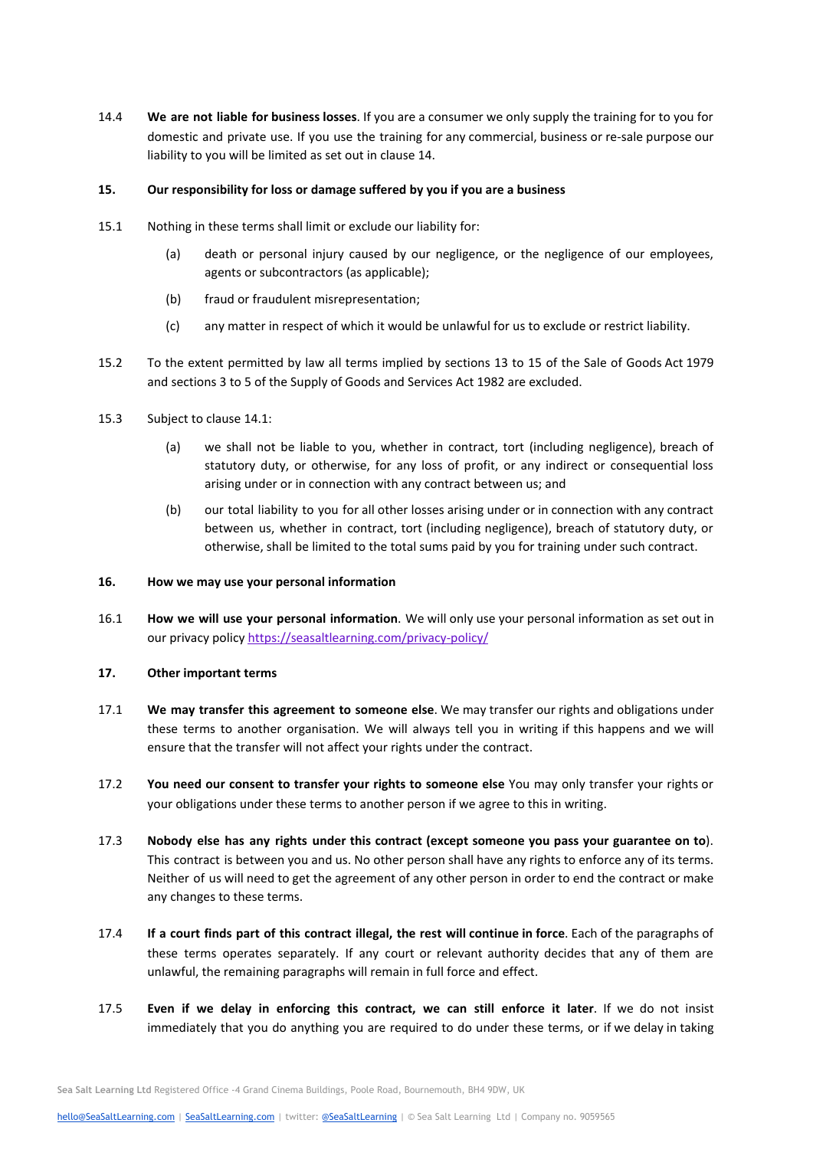14.4 **We are not liable for business losses**. If you are a consumer we only supply the training for to you for domestic and private use. If you use the training for any commercial, business or re-sale purpose our liability to you will be limited as set out in clause 14.

### **15. Our responsibility for loss or damage suffered by you if you are a business**

- 15.1 Nothing in these terms shall limit or exclude our liability for:
	- (a) death or personal injury caused by our negligence, or the negligence of our employees, agents or subcontractors (as applicable);
	- (b) fraud or fraudulent misrepresentation;
	- (c) any matter in respect of which it would be unlawful for us to exclude or restrict liability.
- 15.2 To the extent permitted by law all terms implied by sections 13 to 15 of the Sale of Goods Act 1979 and sections 3 to 5 of the Supply of Goods and Services Act 1982 are excluded.
- 15.3 Subject to clause 14.1:
	- (a) we shall not be liable to you, whether in contract, tort (including negligence), breach of statutory duty, or otherwise, for any loss of profit, or any indirect or consequential loss arising under or in connection with any contract between us; and
	- (b) our total liability to you for all other losses arising under or in connection with any contract between us, whether in contract, tort (including negligence), breach of statutory duty, or otherwise, shall be limited to the total sums paid by you for training under such contract.

#### **16. How we may use your personal information**

16.1 **How we will use your personal information**. We will only use your personal information as set out in our privacy policy <https://seasaltlearning.com/privacy-policy/>

#### **17. Other important terms**

- 17.1 **We may transfer this agreement to someone else**. We may transfer our rights and obligations under these terms to another organisation. We will always tell you in writing if this happens and we will ensure that the transfer will not affect your rights under the contract.
- 17.2 **You need our consent to transfer your rights to someone else** You may only transfer your rights or your obligations under these terms to another person if we agree to this in writing.
- 17.3 **Nobody else has any rights under this contract (except someone you pass your guarantee on to**). This contract is between you and us. No other person shall have any rights to enforce any of its terms. Neither of us will need to get the agreement of any other person in order to end the contract or make any changes to these terms.
- 17.4 **If a court finds part of this contract illegal, the rest will continue in force**. Each of the paragraphs of these terms operates separately. If any court or relevant authority decides that any of them are unlawful, the remaining paragraphs will remain in full force and effect.
- 17.5 **Even if we delay in enforcing this contract, we can still enforce it later**. If we do not insist immediately that you do anything you are required to do under these terms, or if we delay in taking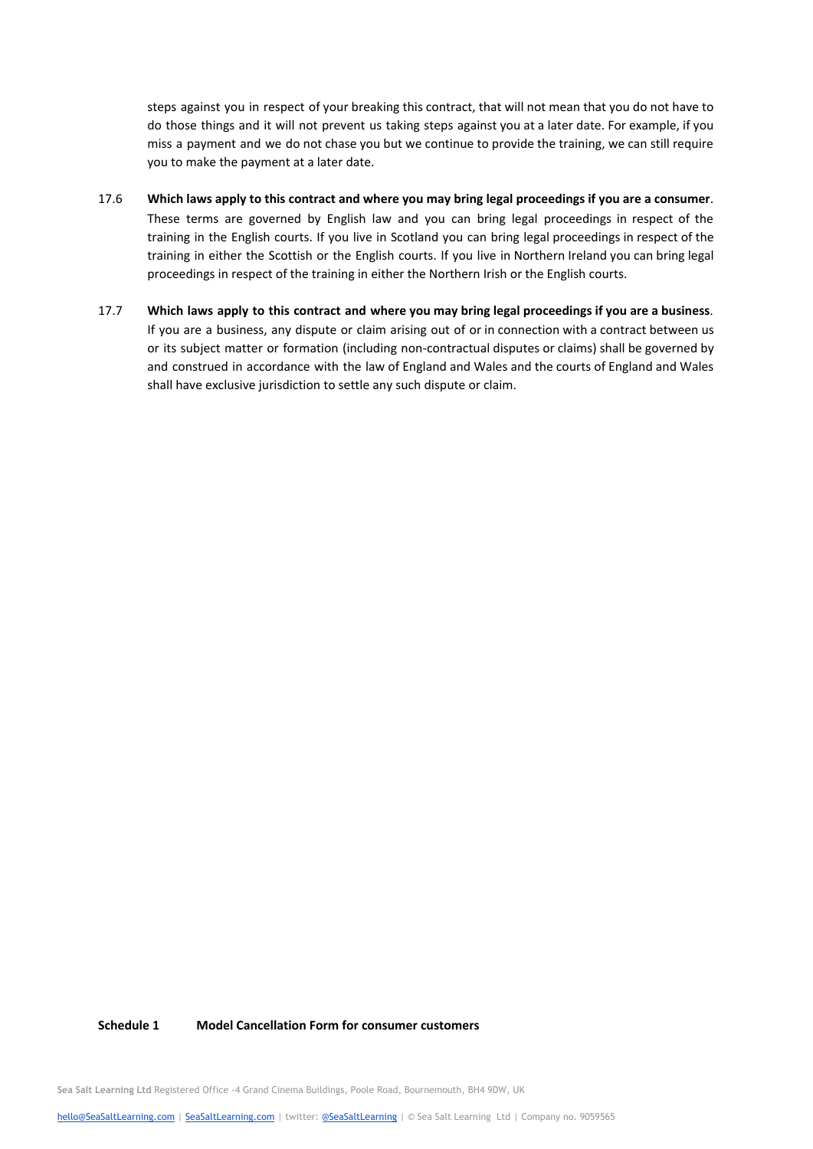steps against you in respect of your breaking this contract, that will not mean that you do not have to do those things and it will not prevent us taking steps against you at a later date. For example, if you miss a payment and we do not chase you but we continue to provide the training, we can still require you to make the payment at a later date.

- 17.6 Which laws apply to this contract and where you may bring legal proceedings if you are a consumer. These terms are governed by English law and you can bring legal proceedings in respect of the training in the English courts. If you live in Scotland you can bring legal proceedings in respect of the training in either the Scottish or the English courts. If you live in Northern Ireland you can bring legal proceedings in respect of the training in either the Northern Irish or the English courts.
- 17.7 Which laws apply to this contract and where you may bring legal proceedings if you are a business. If you are a business, any dispute or claim arising out of or in connection with a contract between us or its subject matter or formation (including non-contractual disputes or claims) shall be governed by and construed in accordance with the law of England and Wales and the courts of England and Wales shall have exclusive jurisdiction to settle any such dispute or claim.

#### **Schedule 1 Model Cancellation Form for consumer customers**